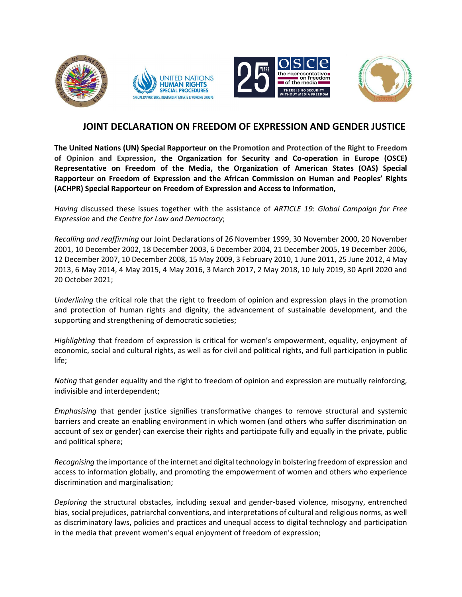

# JOINT DECLARATION ON FREEDOM OF EXPRESSION AND GENDER JUSTICE

The United Nations (UN) Special Rapporteur on the Promotion and Protection of the Right to Freedom of Opinion and Expression, the Organization for Security and Co-operation in Europe (OSCE) Representative on Freedom of the Media, the Organization of American States (OAS) Special Rapporteur on Freedom of Expression and the African Commission on Human and Peoples' Rights (ACHPR) Special Rapporteur on Freedom of Expression and Access to Information,

Having discussed these issues together with the assistance of ARTICLE 19: Global Campaign for Free Expression and the Centre for Law and Democracy;

Recalling and reaffirming our Joint Declarations of 26 November 1999, 30 November 2000, 20 November 2001, 10 December 2002, 18 December 2003, 6 December 2004, 21 December 2005, 19 December 2006, 12 December 2007, 10 December 2008, 15 May 2009, 3 February 2010, 1 June 2011, 25 June 2012, 4 May 2013, 6 May 2014, 4 May 2015, 4 May 2016, 3 March 2017, 2 May 2018, 10 July 2019, 30 April 2020 and 20 October 2021;

Underlining the critical role that the right to freedom of opinion and expression plays in the promotion and protection of human rights and dignity, the advancement of sustainable development, and the supporting and strengthening of democratic societies;

Highlighting that freedom of expression is critical for women's empowerment, equality, enjoyment of economic, social and cultural rights, as well as for civil and political rights, and full participation in public life;

Noting that gender equality and the right to freedom of opinion and expression are mutually reinforcing, indivisible and interdependent;

Emphasising that gender justice signifies transformative changes to remove structural and systemic barriers and create an enabling environment in which women (and others who suffer discrimination on account of sex or gender) can exercise their rights and participate fully and equally in the private, public and political sphere;

Recognising the importance of the internet and digital technology in bolstering freedom of expression and access to information globally, and promoting the empowerment of women and others who experience discrimination and marginalisation;

Deploring the structural obstacles, including sexual and gender-based violence, misogyny, entrenched bias, social prejudices, patriarchal conventions, and interpretations of cultural and religious norms, as well as discriminatory laws, policies and practices and unequal access to digital technology and participation in the media that prevent women's equal enjoyment of freedom of expression;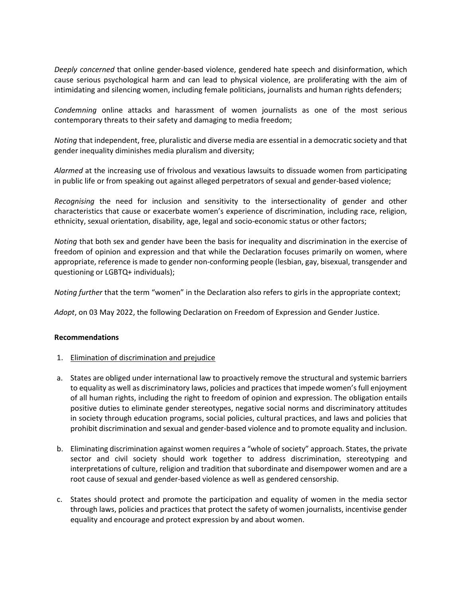Deeply concerned that online gender-based violence, gendered hate speech and disinformation, which cause serious psychological harm and can lead to physical violence, are proliferating with the aim of intimidating and silencing women, including female politicians, journalists and human rights defenders;

Condemning online attacks and harassment of women journalists as one of the most serious contemporary threats to their safety and damaging to media freedom;

Noting that independent, free, pluralistic and diverse media are essential in a democratic society and that gender inequality diminishes media pluralism and diversity;

Alarmed at the increasing use of frivolous and vexatious lawsuits to dissuade women from participating in public life or from speaking out against alleged perpetrators of sexual and gender-based violence;

Recognising the need for inclusion and sensitivity to the intersectionality of gender and other characteristics that cause or exacerbate women's experience of discrimination, including race, religion, ethnicity, sexual orientation, disability, age, legal and socio-economic status or other factors;

Noting that both sex and gender have been the basis for inequality and discrimination in the exercise of freedom of opinion and expression and that while the Declaration focuses primarily on women, where appropriate, reference is made to gender non-conforming people (lesbian, gay, bisexual, transgender and questioning or LGBTQ+ individuals);

Noting further that the term "women" in the Declaration also refers to girls in the appropriate context;

Adopt, on 03 May 2022, the following Declaration on Freedom of Expression and Gender Justice.

#### Recommendations

- 1. Elimination of discrimination and prejudice
- a. States are obliged under international law to proactively remove the structural and systemic barriers to equality as well as discriminatory laws, policies and practices that impede women's full enjoyment of all human rights, including the right to freedom of opinion and expression. The obligation entails positive duties to eliminate gender stereotypes, negative social norms and discriminatory attitudes in society through education programs, social policies, cultural practices, and laws and policies that prohibit discrimination and sexual and gender-based violence and to promote equality and inclusion.
- b. Eliminating discrimination against women requires a "whole of society" approach. States, the private sector and civil society should work together to address discrimination, stereotyping and interpretations of culture, religion and tradition that subordinate and disempower women and are a root cause of sexual and gender-based violence as well as gendered censorship.
- c. States should protect and promote the participation and equality of women in the media sector through laws, policies and practices that protect the safety of women journalists, incentivise gender equality and encourage and protect expression by and about women.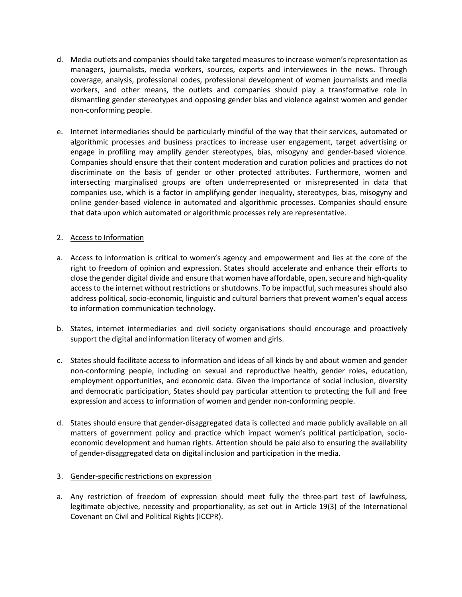- d. Media outlets and companies should take targeted measures to increase women's representation as managers, journalists, media workers, sources, experts and interviewees in the news. Through coverage, analysis, professional codes, professional development of women journalists and media workers, and other means, the outlets and companies should play a transformative role in dismantling gender stereotypes and opposing gender bias and violence against women and gender non-conforming people.
- e. Internet intermediaries should be particularly mindful of the way that their services, automated or algorithmic processes and business practices to increase user engagement, target advertising or engage in profiling may amplify gender stereotypes, bias, misogyny and gender-based violence. Companies should ensure that their content moderation and curation policies and practices do not discriminate on the basis of gender or other protected attributes. Furthermore, women and intersecting marginalised groups are often underrepresented or misrepresented in data that companies use, which is a factor in amplifying gender inequality, stereotypes, bias, misogyny and online gender-based violence in automated and algorithmic processes. Companies should ensure that data upon which automated or algorithmic processes rely are representative.

## 2. Access to Information

- a. Access to information is critical to women's agency and empowerment and lies at the core of the right to freedom of opinion and expression. States should accelerate and enhance their efforts to close the gender digital divide and ensure that women have affordable, open, secure and high-quality access to the internet without restrictions or shutdowns. To be impactful, such measures should also address political, socio-economic, linguistic and cultural barriers that prevent women's equal access to information communication technology.
- b. States, internet intermediaries and civil society organisations should encourage and proactively support the digital and information literacy of women and girls.
- c. States should facilitate access to information and ideas of all kinds by and about women and gender non-conforming people, including on sexual and reproductive health, gender roles, education, employment opportunities, and economic data. Given the importance of social inclusion, diversity and democratic participation, States should pay particular attention to protecting the full and free expression and access to information of women and gender non-conforming people.
- d. States should ensure that gender-disaggregated data is collected and made publicly available on all matters of government policy and practice which impact women's political participation, socioeconomic development and human rights. Attention should be paid also to ensuring the availability of gender-disaggregated data on digital inclusion and participation in the media.

### 3. Gender-specific restrictions on expression

a. Any restriction of freedom of expression should meet fully the three-part test of lawfulness, legitimate objective, necessity and proportionality, as set out in Article 19(3) of the International Covenant on Civil and Political Rights (ICCPR).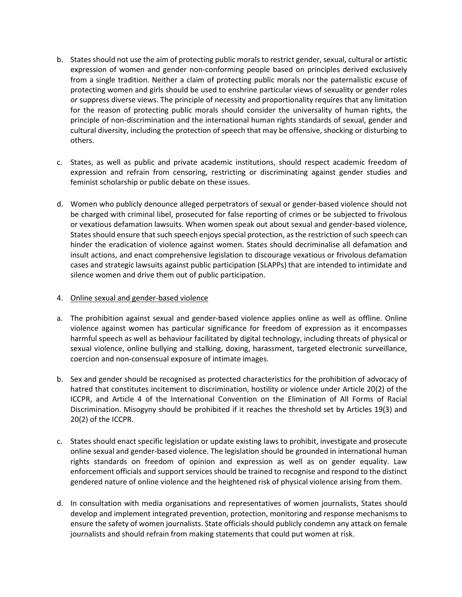- b. States should not use the aim of protecting public morals to restrict gender, sexual, cultural or artistic expression of women and gender non-conforming people based on principles derived exclusively from a single tradition. Neither a claim of protecting public morals nor the paternalistic excuse of protecting women and girls should be used to enshrine particular views of sexuality or gender roles or suppress diverse views. The principle of necessity and proportionality requires that any limitation for the reason of protecting public morals should consider the universality of human rights, the principle of non-discrimination and the international human rights standards of sexual, gender and cultural diversity, including the protection of speech that may be offensive, shocking or disturbing to others.
- c. States, as well as public and private academic institutions, should respect academic freedom of expression and refrain from censoring, restricting or discriminating against gender studies and feminist scholarship or public debate on these issues.
- d. Women who publicly denounce alleged perpetrators of sexual or gender-based violence should not be charged with criminal libel, prosecuted for false reporting of crimes or be subjected to frivolous or vexatious defamation lawsuits. When women speak out about sexual and gender-based violence, States should ensure that such speech enjoys special protection, as the restriction of such speech can hinder the eradication of violence against women. States should decriminalise all defamation and insult actions, and enact comprehensive legislation to discourage vexatious or frivolous defamation cases and strategic lawsuits against public participation (SLAPPs) that are intended to intimidate and silence women and drive them out of public participation.

### 4. Online sexual and gender-based violence

- a. The prohibition against sexual and gender-based violence applies online as well as offline. Online violence against women has particular significance for freedom of expression as it encompasses harmful speech as well as behaviour facilitated by digital technology, including threats of physical or sexual violence, online bullying and stalking, doxing, harassment, targeted electronic surveillance, coercion and non-consensual exposure of intimate images.
- b. Sex and gender should be recognised as protected characteristics for the prohibition of advocacy of hatred that constitutes incitement to discrimination, hostility or violence under Article 20(2) of the ICCPR, and Article 4 of the International Convention on the Elimination of All Forms of Racial Discrimination. Misogyny should be prohibited if it reaches the threshold set by Articles 19(3) and 20(2) of the ICCPR.
- c. States should enact specific legislation or update existing laws to prohibit, investigate and prosecute online sexual and gender-based violence. The legislation should be grounded in international human rights standards on freedom of opinion and expression as well as on gender equality. Law enforcement officials and support services should be trained to recognise and respond to the distinct gendered nature of online violence and the heightened risk of physical violence arising from them.
- d. In consultation with media organisations and representatives of women journalists, States should develop and implement integrated prevention, protection, monitoring and response mechanisms to ensure the safety of women journalists. State officials should publicly condemn any attack on female journalists and should refrain from making statements that could put women at risk.